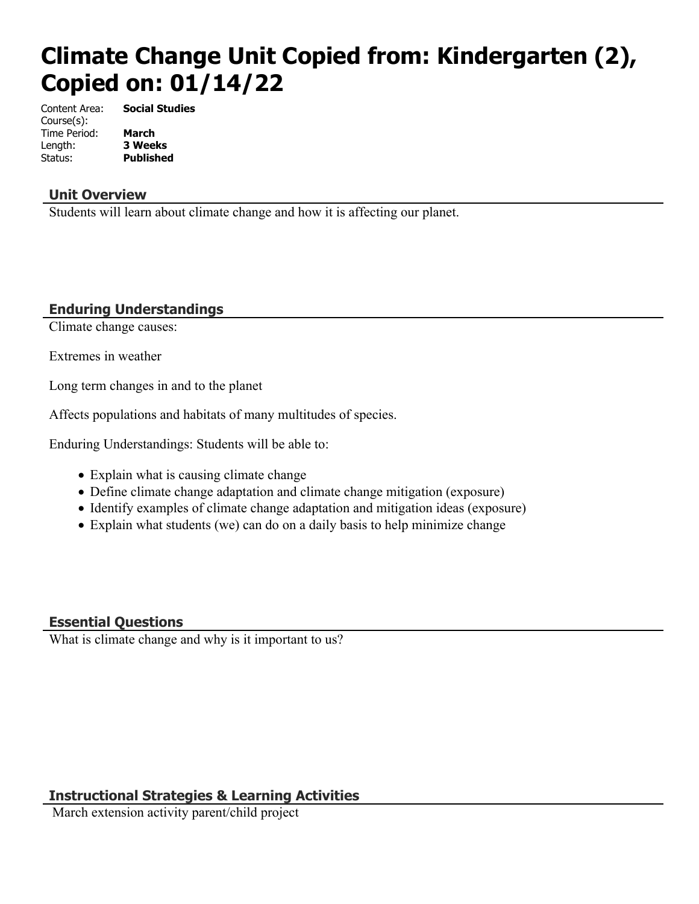# **Climate Change Unit Copied from: Kindergarten (2), Copied on: 01/14/22**

Content Area: **Social Studies** Course(s): Time Period: **March** Length: **3 Weeks** Status: **Published**

### **Unit Overview**

Students will learn about climate change and how it is affecting our planet.

## **Enduring Understandings**

Climate change causes:

Extremes in weather

Long term changes in and to the planet

Affects populations and habitats of many multitudes of species.

Enduring Understandings: Students will be able to:

- Explain what is causing climate change
- Define climate change adaptation and climate change mitigation (exposure)
- Identify examples of climate change adaptation and mitigation ideas (exposure)
- Explain what students (we) can do on a daily basis to help minimize change

## **Essential Questions**

What is climate change and why is it important to us?

# **Instructional Strategies & Learning Activities**

March extension activity parent/child project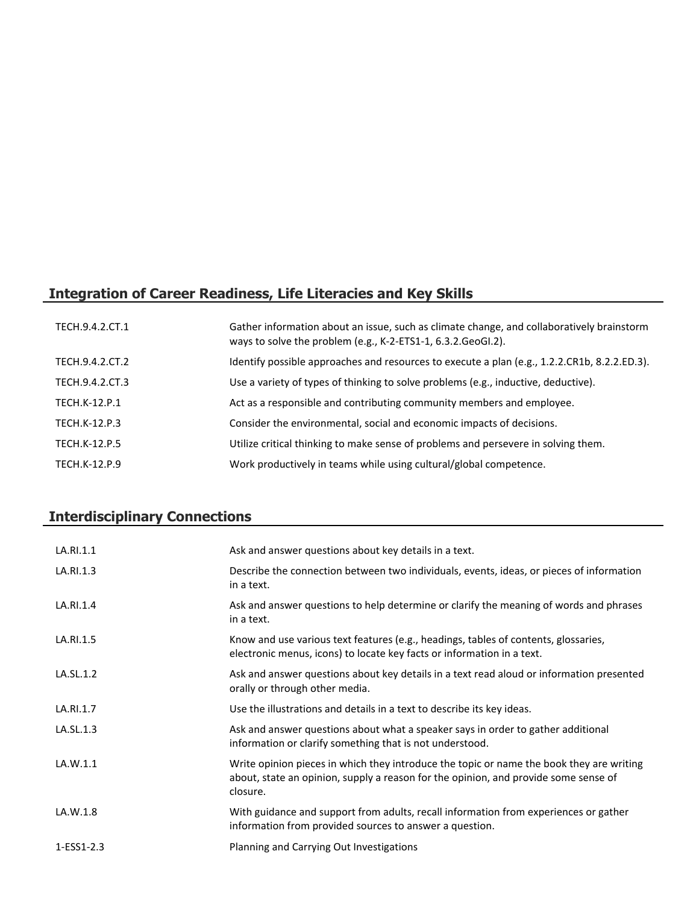# **Integration of Career Readiness, Life Literacies and Key Skills**

| TECH.9.4.2.CT.1      | Gather information about an issue, such as climate change, and collaboratively brainstorm<br>ways to solve the problem (e.g., K-2-ETS1-1, 6.3.2.GeoGI.2). |
|----------------------|-----------------------------------------------------------------------------------------------------------------------------------------------------------|
| TECH.9.4.2.CT.2      | Identify possible approaches and resources to execute a plan (e.g., 1.2.2.CR1b, 8.2.2.ED.3).                                                              |
| TECH.9.4.2.CT.3      | Use a variety of types of thinking to solve problems (e.g., inductive, deductive).                                                                        |
| <b>TECH.K-12.P.1</b> | Act as a responsible and contributing community members and employee.                                                                                     |
| TECH.K-12.P.3        | Consider the environmental, social and economic impacts of decisions.                                                                                     |
| <b>TECH.K-12.P.5</b> | Utilize critical thinking to make sense of problems and persevere in solving them.                                                                        |
| TECH.K-12.P.9        | Work productively in teams while using cultural/global competence.                                                                                        |

# **Interdisciplinary Connections**

| LA.RI.1.1  | Ask and answer questions about key details in a text.                                                                                                                                       |
|------------|---------------------------------------------------------------------------------------------------------------------------------------------------------------------------------------------|
| LA.RI.1.3  | Describe the connection between two individuals, events, ideas, or pieces of information<br>in a text.                                                                                      |
| LA.RI.1.4  | Ask and answer questions to help determine or clarify the meaning of words and phrases<br>in a text.                                                                                        |
| LA.RI.1.5  | Know and use various text features (e.g., headings, tables of contents, glossaries,<br>electronic menus, icons) to locate key facts or information in a text.                               |
| LA.SL.1.2  | Ask and answer questions about key details in a text read aloud or information presented<br>orally or through other media.                                                                  |
| LA.RI.1.7  | Use the illustrations and details in a text to describe its key ideas.                                                                                                                      |
| LA.SL.1.3  | Ask and answer questions about what a speaker says in order to gather additional<br>information or clarify something that is not understood.                                                |
| LA.W.1.1   | Write opinion pieces in which they introduce the topic or name the book they are writing<br>about, state an opinion, supply a reason for the opinion, and provide some sense of<br>closure. |
| LA.W.1.8   | With guidance and support from adults, recall information from experiences or gather<br>information from provided sources to answer a question.                                             |
| 1-ESS1-2.3 | Planning and Carrying Out Investigations                                                                                                                                                    |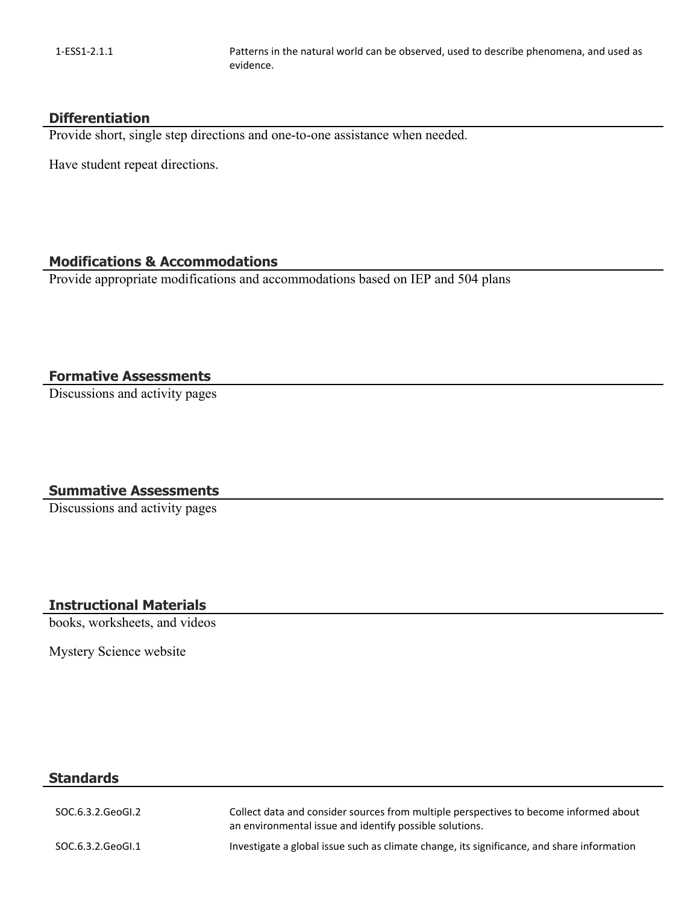1-ESS1-2.1.1 Patterns in the natural world can be observed, used to describe phenomena, and used as evidence.

#### **Differentiation**

Provide short, single step directions and one-to-one assistance when needed.

Have student repeat directions.

#### **Modifications & Accommodations**

Provide appropriate modifications and accommodations based on IEP and 504 plans

#### **Formative Assessments**

Discussions and activity pages

#### **Summative Assessments**

Discussions and activity pages

#### **Instructional Materials**

books, worksheets, and videos

Mystery Science website

### **Standards**

| SOC.6.3.2.GeoGl.2 | Collect data and consider sources from multiple perspectives to become informed about<br>an environmental issue and identify possible solutions. |
|-------------------|--------------------------------------------------------------------------------------------------------------------------------------------------|
| SOC.6.3.2.GeoGl.1 | Investigate a global issue such as climate change, its significance, and share information                                                       |